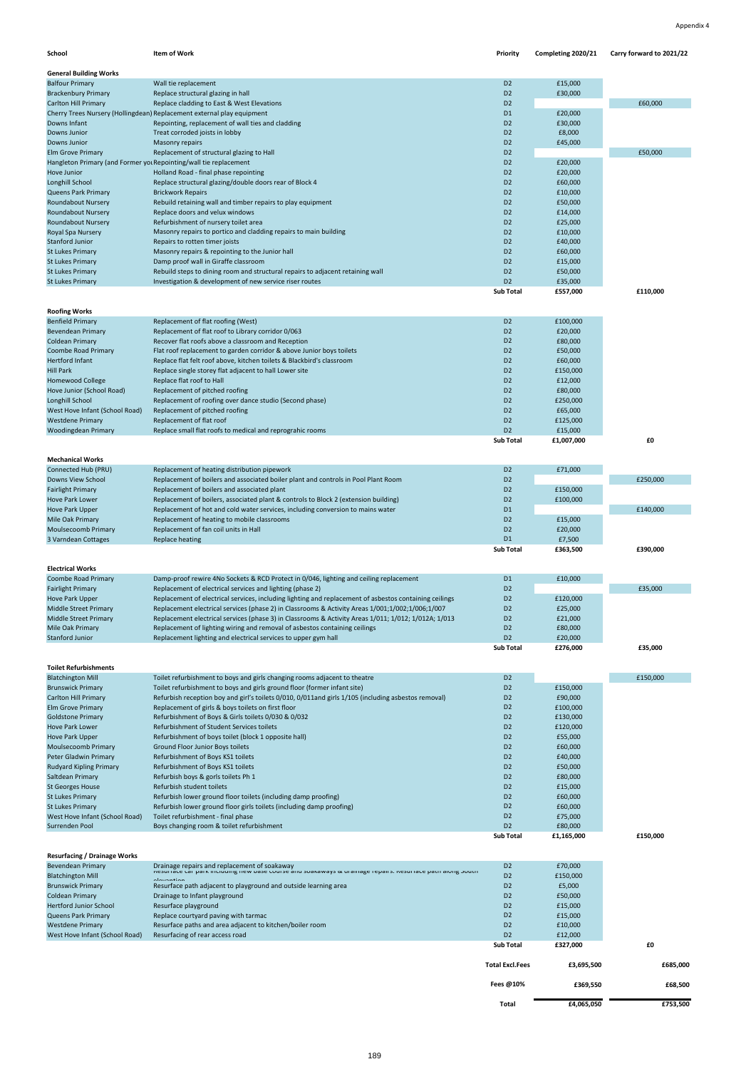| <b>School</b>                  | Item of Work                                                                        | <b>Priority</b>  | Completing 2020/21 | Carry forward to 2021/22 |
|--------------------------------|-------------------------------------------------------------------------------------|------------------|--------------------|--------------------------|
| <b>General Building Works</b>  |                                                                                     |                  |                    |                          |
| <b>Balfour Primary</b>         | Wall tie replacement                                                                | D <sub>2</sub>   | £15,000            |                          |
| <b>Brackenbury Primary</b>     | Replace structural glazing in hall                                                  | D <sub>2</sub>   | £30,000            |                          |
| <b>Carlton Hill Primary</b>    | Replace cladding to East & West Elevations                                          | D <sub>2</sub>   |                    | £60,000                  |
|                                | Cherry Trees Nursery (Hollingdean) Replacement external play equipment              | D <sub>1</sub>   | £20,000            |                          |
| Downs Infant                   | Repointing, replacement of wall ties and cladding                                   | D <sub>2</sub>   | £30,000            |                          |
| <b>Downs Junior</b>            | Treat corroded joists in lobby                                                      | D <sub>2</sub>   | £8,000             |                          |
| <b>Downs Junior</b>            | <b>Masonry repairs</b>                                                              | D <sub>2</sub>   | £45,000            |                          |
| <b>Elm Grove Primary</b>       | Replacement of structural glazing to Hall                                           | D <sub>2</sub>   |                    | £50,000                  |
|                                | Hangleton Primary (and Former yor Repointing/wall tie replacement                   | D <sub>2</sub>   | £20,000            |                          |
| Hove Junior                    | Holland Road - final phase repointing                                               | D <sub>2</sub>   | £20,000            |                          |
| Longhill School                | Replace structural glazing/double doors rear of Block 4                             | D <sub>2</sub>   | £60,000            |                          |
| <b>Queens Park Primary</b>     | <b>Brickwork Repairs</b>                                                            | D <sub>2</sub>   | £10,000            |                          |
| <b>Roundabout Nursery</b>      | Rebuild retaining wall and timber repairs to play equipment                         | D <sub>2</sub>   | £50,000            |                          |
| <b>Roundabout Nursery</b>      | Replace doors and velux windows                                                     | D <sub>2</sub>   | £14,000            |                          |
| <b>Roundabout Nursery</b>      | Refurbishment of nursery toilet area                                                | D <sub>2</sub>   | £25,000            |                          |
| Royal Spa Nursery              | Masonry repairs to portico and cladding repairs to main building                    | D <sub>2</sub>   | £10,000            |                          |
| <b>Stanford Junior</b>         | Repairs to rotten timer joists                                                      | D <sub>2</sub>   | £40,000            |                          |
| <b>St Lukes Primary</b>        | Masonry repairs & repointing to the Junior hall                                     | D <sub>2</sub>   | £60,000            |                          |
| <b>St Lukes Primary</b>        | Damp proof wall in Giraffe classroom                                                | D <sub>2</sub>   | £15,000            |                          |
| <b>St Lukes Primary</b>        | Rebuild steps to dining room and structural repairs to adjacent retaining wall      | D <sub>2</sub>   | £50,000            |                          |
| <b>St Lukes Primary</b>        | Investigation & development of new service riser routes                             | D <sub>2</sub>   | £35,000            |                          |
|                                |                                                                                     | <b>Sub Total</b> | £557,000           | £110,000                 |
|                                |                                                                                     |                  |                    |                          |
| <b>Roofing Works</b>           |                                                                                     |                  |                    |                          |
| <b>Benfield Primary</b>        | Replacement of flat roofing (West)                                                  | D <sub>2</sub>   | £100,000           |                          |
| <b>Bevendean Primary</b>       | Replacement of flat roof to Library corridor 0/063                                  | D <sub>2</sub>   | £20,000            |                          |
| <b>Coldean Primary</b>         | Recover flat roofs above a classroom and Reception                                  | D <sub>2</sub>   | £80,000            |                          |
| <b>Coombe Road Primary</b>     | Flat roof replacement to garden corridor & above Junior boys toilets                | D <sub>2</sub>   | £50,000            |                          |
| <b>Hertford Infant</b>         | Replace flat felt roof above, kitchen toilets & Blackbird's classroom               | D <sub>2</sub>   | £60,000            |                          |
| <b>Hill Park</b>               | Replace single storey flat adjacent to hall Lower site                              | D <sub>2</sub>   | £150,000           |                          |
| <b>Homewood College</b>        | Replace flat roof to Hall                                                           | D <sub>2</sub>   | £12,000            |                          |
| Hove Junior (School Road)      | Replacement of pitched roofing                                                      | D <sub>2</sub>   | £80,000            |                          |
| Longhill School                | Replacement of roofing over dance studio (Second phase)                             | D <sub>2</sub>   | £250,000           |                          |
| West Hove Infant (School Road) | Replacement of pitched roofing                                                      | D <sub>2</sub>   | £65,000            |                          |
| <b>Westdene Primary</b>        | Replacement of flat roof                                                            | D <sub>2</sub>   | £125,000           |                          |
| Woodingdean Primary            | Replace small flat roofs to medical and reprograhic rooms                           | D <sub>2</sub>   | £15,000            |                          |
|                                |                                                                                     | <b>Sub Total</b> | £1,007,000         | £0                       |
| <b>Mechanical Works</b>        |                                                                                     |                  |                    |                          |
| Connected Hub (PRU)            | Replacement of heating distribution pipework                                        | D <sub>2</sub>   | £71,000            |                          |
| <b>Downs View School</b>       | Replacement of boilers and associated boiler plant and controls in Pool Plant Room  | D <sub>2</sub>   |                    | £250,000                 |
| <b>Fairlight Primary</b>       | Replacement of boilers and associated plant                                         | D <sub>2</sub>   | £150,000           |                          |
| <b>Hove Park Lower</b>         | Replacement of boilers, associated plant & controls to Block 2 (extension building) | D <sub>2</sub>   | £100,000           |                          |
| <b>Hove Park Upper</b>         | Replacement of hot and cold water services, including conversion to mains water     | D <sub>1</sub>   |                    | £140,000                 |
| Mile Oak Primary               | Replacement of heating to mobile classrooms                                         | D <sub>2</sub>   | £15,000            |                          |
| Moulsecoomb Primary            | Replacement of fan coil units in Hall                                               | D <sub>2</sub>   | £20,000            |                          |
| 3 Varndean Cottages            | <b>Replace heating</b>                                                              | D <sub>1</sub>   | £7,500             |                          |
|                                |                                                                                     | <b>Sub Total</b> | £363,500           | £390,000                 |
|                                |                                                                                     |                  |                    |                          |

**Electrical Works**

| Coombe Road Primary<br><b>Fairlight Primary</b> | Damp-proof rewire 4No Sockets & RCD Protect in 0/046, lighting and ceiling replacement<br>Replacement of electrical services and lighting (phase 2) | D <sub>1</sub><br>D <sub>2</sub> | £10,000  | £35,000 |
|-------------------------------------------------|-----------------------------------------------------------------------------------------------------------------------------------------------------|----------------------------------|----------|---------|
| Hove Park Upper                                 | Replacement of electrical services, including lighting and replacement of asbestos containing ceilings                                              | D <sub>2</sub>                   | £120,000 |         |
| Middle Street Primary                           | Replacement electrical services (phase 2) in Classrooms & Activity Areas 1/001;1/002;1/006;1/007                                                    | D <sub>2</sub>                   | £25,000  |         |
| Middle Street Primary                           | Replacement electrical services (phase 3) in Classrooms & Activity Areas 1/011; 1/012; 1/012A; 1/013                                                | D2                               | £21,000  |         |
| Mile Oak Primary                                | Replacement of lighting wiring and removal of asbestos containing ceilings                                                                          | D <sub>2</sub>                   | £80,000  |         |
| <b>Stanford Junior</b>                          | Replacement lighting and electrical services to upper gym hall                                                                                      | D2                               | £20,000  |         |
|                                                 |                                                                                                                                                     | <b>Sub Total</b>                 | £276,000 | £35,000 |

| <b>Toilet Refurbishments</b>   |                                                                                                     |                  |            |          |
|--------------------------------|-----------------------------------------------------------------------------------------------------|------------------|------------|----------|
| <b>Blatchington Mill</b>       | Toilet refurbishment to boys and girls changing rooms adjacent to theatre                           | D <sub>2</sub>   |            | £150,000 |
| <b>Brunswick Primary</b>       | Toilet refurbishment to boys and girls ground floor (former infant site)                            | D <sub>2</sub>   | £150,000   |          |
| <b>Carlton Hill Primary</b>    | Refurbish reception boy and girl's toilets 0/010, 0/011and girls 1/105 (including asbestos removal) | D <sub>2</sub>   | £90,000    |          |
| <b>Elm Grove Primary</b>       | Replacement of girls & boys toilets on first floor                                                  | D <sub>2</sub>   | £100,000   |          |
| <b>Goldstone Primary</b>       | Refurbishment of Boys & Girls toilets 0/030 & 0/032                                                 | D <sub>2</sub>   | £130,000   |          |
| <b>Hove Park Lower</b>         | Refurbishment of Student Services toilets                                                           | D <sub>2</sub>   | £120,000   |          |
| Hove Park Upper                | Refurbishment of boys toilet (block 1 opposite hall)                                                | D <sub>2</sub>   | £55,000    |          |
| Moulsecoomb Primary            | <b>Ground Floor Junior Boys toilets</b>                                                             | D <sub>2</sub>   | £60,000    |          |
| <b>Peter Gladwin Primary</b>   | Refurbishment of Boys KS1 toilets                                                                   | D <sub>2</sub>   | £40,000    |          |
| <b>Rudyard Kipling Primary</b> | Refurbishment of Boys KS1 toilets                                                                   | D <sub>2</sub>   | £50,000    |          |
| Saltdean Primary               | Refurbish boys & gorls toilets Ph 1                                                                 | D <sub>2</sub>   | £80,000    |          |
| <b>St Georges House</b>        | Refurbish student toilets                                                                           | D <sub>2</sub>   | £15,000    |          |
| St Lukes Primary               | Refurbish lower ground floor toilets (including damp proofing)                                      | D <sub>2</sub>   | £60,000    |          |
| <b>St Lukes Primary</b>        | Refurbish lower ground floor girls toilets (including damp proofing)                                | D <sub>2</sub>   | £60,000    |          |
| West Hove Infant (School Road) | Toilet refurbishment - final phase                                                                  | D <sub>2</sub>   | £75,000    |          |
| Surrenden Pool                 | Boys changing room & toilet refurbishment                                                           | D <sub>2</sub>   | £80,000    |          |
|                                |                                                                                                     | <b>Sub Total</b> | £1,165,000 | £150,000 |

## **Resurfacing / Drainage Works**

|                                |                                                                                                                        | <b>Total Excl.Fees</b> | £3,695,500 | £685,000 |
|--------------------------------|------------------------------------------------------------------------------------------------------------------------|------------------------|------------|----------|
|                                |                                                                                                                        | <b>Sub Total</b>       | £327,000   | £0       |
| West Hove Infant (School Road) | Resurfacing of rear access road                                                                                        | D <sub>2</sub>         | £12,000    |          |
| <b>Westdene Primary</b>        | Resurface paths and area adjacent to kitchen/boiler room                                                               | D <sub>2</sub>         | £10,000    |          |
| <b>Queens Park Primary</b>     | Replace courtyard paving with tarmac                                                                                   | D <sub>2</sub>         | £15,000    |          |
| <b>Hertford Junior School</b>  | Resurface playground                                                                                                   | D <sub>2</sub>         | £15,000    |          |
| <b>Coldean Primary</b>         | Drainage to Infant playground                                                                                          | D <sub>2</sub>         | £50,000    |          |
| <b>Brunswick Primary</b>       | Resurface path adjacent to playground and outside learning area                                                        | D <sub>2</sub>         | £5,000     |          |
| <b>Blatchington Mill</b>       | nesuriace car park including new base course and soakaways & dramage repairs. Resurrace path along south<br>aloughtian | D <sub>2</sub>         | £150,000   |          |
| <b>Bevendean Primary</b>       | Drainage repairs and replacement of soakaway                                                                           | D <sub>2</sub>         | £70,000    |          |

| Fees $@10\%$ | £369.550   | £68,500  |
|--------------|------------|----------|
| Total        | £4,065,050 | £753,500 |